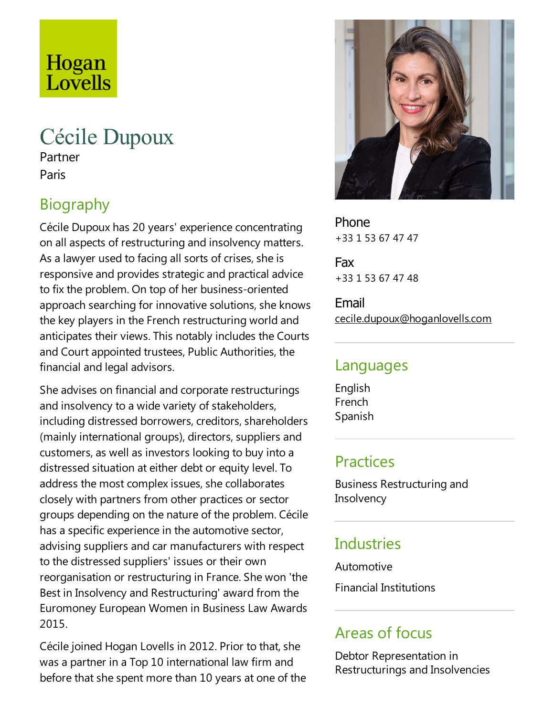# Hogan Lovells

## Cécile Dupoux

Partner Paris

## Biography

Cécile Dupoux has 20 years' experience concentrating on all aspects of restructuring and insolvency matters. As a lawyer used to facing all sorts of crises, she is responsive and provides strategic and practical advice to fix the problem. On top of her business-oriented approach searching for innovative solutions, she knows the key players in the French restructuring world and anticipates their views.This notably includes the Courts and Court appointed trustees, Public Authorities, the financial and legal advisors.

She advises on financial and corporate restructurings and insolvency to a wide variety of stakeholders, including distressed borrowers, creditors, shareholders (mainly international groups), directors, suppliers and customers, as well as investors looking to buy into a distressed situation at either debt or equity level. To address the most complex issues, she collaborates closely with partners from other practices or sector groups depending on the nature of the problem. Cécile has a specific experience in the automotive sector, advising suppliers and car manufacturers with respect to the distressed suppliers' issues or their own reorganisation or restructuring in France. She won 'the Best in Insolvency and Restructuring' award from the Euromoney European Women in Business Law Awards 2015.

Cécile joined Hogan Lovells in 2012. Prior to that, she was a partner in a Top 10 international law firm and before that she spent more than 10 years at one of the



Phone +33 1 53 67 47 47

Fax +33 1 53 67 47 48

Email cecile.dupoux@hoganlovells.com

#### Languages

English French Spanish

#### **Practices**

Business Restructuring and **Insolvency** 

### **Industries**

**Automotive** 

Financial Institutions

#### Areas of focus

Debtor Representation in Restructurings and Insolvencies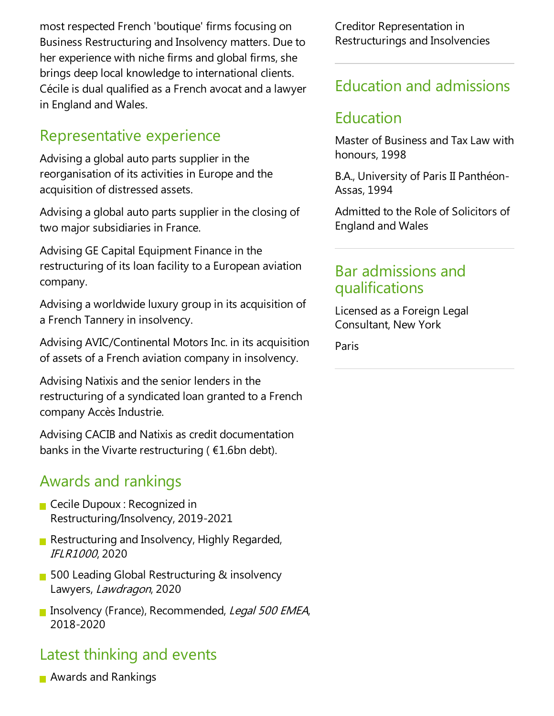most respected French 'boutique' firms focusing on Business Restructuring and Insolvency matters. Due to her experience with niche firms and global firms, she brings deep local knowledge to international clients. Cécile is dual qualified as a French avocat and a lawyer in England and Wales.

#### Representative experience

Advising a global auto parts supplier in the reorganisation of its activities in Europe and the acquisition of distressed assets.

Advising a global auto parts supplier in the closing of two major subsidiaries in France.

Advising GE Capital Equipment Finance in the restructuring of its loan facility to a European aviation company.

Advising a worldwide luxury group in its acquisition of a French Tannery in insolvency.

Advising AVIC/Continental Motors Inc. in its acquisition of assets of a French aviation company in insolvency.

Advising Natixis and the senior lenders in the restructuring of a syndicated loan granted to a French company Accès Industrie.

Advising CACIB and Natixis as credit documentation banks in the Vivarte restructuring ( $E1.6$ bn debt).

#### Awards and rankings

- **Cecile Dupoux : Recognized in** Restructuring/Insolvency, 2019-2021
- Restructuring and Insolvency, Highly Regarded, IFLR1000, 2020
- 500 Leading Global Restructuring & insolvency Lawyers, Lawdragon, 2020
- **Insolvency (France), Recommended, Legal 500 EMEA,** 2018-2020

## Latest thinking and events

**Awards and Rankings** 

Creditor Representation in Restructurings and Insolvencies

#### Education and admissions

#### Education

Master of Business and Tax Law with honours, 1998

B.A., University of Paris II Panthéon-Assas, 1994

Admitted to the Role of Solicitors of England and Wales

#### Bar admissions and qualifications

Licensed as aForeign Legal Consultant, New York

Paris